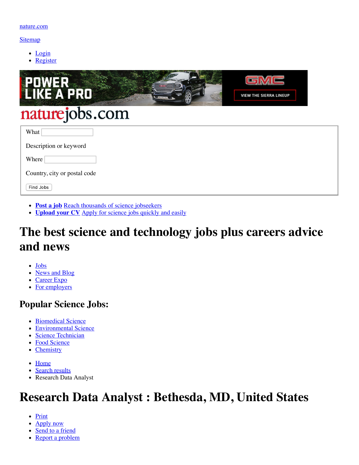#### <span id="page-0-0"></span>[Sitemap](https://www.nature.com/naturejobs/science/siteindex)

- [Login](https://www.nature.com/naturejobs/science/login)
- [Register](https://www.nature.com/naturejobs/science/registrations/new)



- **[Post a job](https://www.nature.com/naturejobs/science/orders/new)** [Reach thousands of science jobseekers](https://www.nature.com/naturejobs/science/orders/new)
- **[Upload your CV](https://www.nature.com/naturejobs/science/user/job_application_template)** [Apply for science jobs quickly and easily](https://www.nature.com/naturejobs/science/user/job_application_template)

# **The best science and technology jobs plus careers advice and news**

- [Jobs](https://www.nature.com/naturejobs/science/)
- [News and Blog](https://www.nature.com/naturejobs/science/news)
- [Career Expo](https://www.nature.com/naturejobs/career-expo)
- [For employers](https://www.nature.com/naturejobs/science/employers/index)

### **Popular Science Jobs:**

- [Biomedical Science](https://www.nature.com/naturejobs/science/jobs/biomedical-science)
- [Environmental Science](https://www.nature.com/naturejobs/science/jobs/environmental-science)
- [Science Technician](https://www.nature.com/naturejobs/science/jobs/science-technician)
- [Food Science](https://www.nature.com/naturejobs/science/jobs/food-science)
- [Chemistry](https://www.nature.com/naturejobs/science/jobs/chemistry)
- [Home](https://www.nature.com/naturejobs/science/)
- [Search results](https://www.nature.com/naturejobs/science/jobs)
- Research Data Analyst

## **Research Data Analyst : Bethesda, MD, United States**

- Print
- Apply now
- [Send to a friend](https://www.nature.com/naturejobs/science/jobs/632327-research-data-analyst/forwards/new)
- [Report a problem](https://www.nature.com/naturejobs/science/jobs/632327-research-data-analyst/problems/new)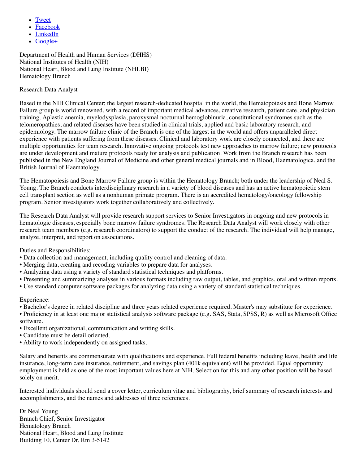- [Tweet](http://twitter.com/home?status=Research%20Data%20Analyst%20%3A%20Bethesda%2C%20MD%2C%20United%20States%20%3A%20Naturejobs%20-%20https://www.nature.com/naturejobs/science/jobs/632327-research-data-analyst%20-%20via%20@naturejobs)
- [Facebook](http://www.facebook.com/share.php?u=https://www.nature.com/naturejobs/science/jobs/632327-research-data-analyst&t=Research%20Data%20Analyst%20%3A%20Bethesda%2C%20MD%2C%20United%20States%20%3A%20Naturejobs)
- [LinkedIn](http://www.linkedin.com/shareArticle?url=https://www.nature.com/naturejobs/science/jobs/632327-research-data-analyst&title=Research%20Data%20Analyst%20%3A%20Bethesda%2C%20MD%2C%20United%20States%20%3A%20Naturejobs%20-%20via%20Naturejobs)
- $\bullet$  [Google+](https://plus.google.com/share?url=https://www.nature.com/naturejobs/science/jobs/632327-research-data-analyst)

Department of Health and Human Services (DHHS) National Institutes of Health (NIH) National Heart, Blood and Lung Institute (NHLBI) Hematology Branch

#### Research Data Analyst

Based in the NIH Clinical Center; the largest research-dedicated hospital in the world, the Hematopoiesis and Bone Marrow Failure group is world renowned, with a record of important medical advances, creative research, patient care, and physician training. Aplastic anemia, myelodysplasia, paroxysmal nocturnal hemoglobinuria, constitutional syndromes such as the telomeropathies, and related diseases have been studied in clinical trials, applied and basic laboratory research, and epidemiology. The marrow failure clinic of the Branch is one of the largest in the world and offers unparalleled direct experience with patients suffering from these diseases. Clinical and laboratory work are closely connected, and there are multiple opportunities for team research. Innovative ongoing protocols test new approaches to marrow failure; new protocols are under development and mature protocols ready for analysis and publication. Work from the Branch research has been published in the New England Journal of Medicine and other general medical journals and in Blood, Haematologica, and the British Journal of Haematology.

The Hematopoiesis and Bone Marrow Failure group is within the Hematology Branch; both under the leadership of Neal S. Young. The Branch conducts interdisciplinary research in a variety of blood diseases and has an active hematopoietic stem cell transplant section as well as a nonhuman primate program. There is an accredited hematology/oncology fellowship program. Senior investigators work together collaboratively and collectively.

The Research Data Analyst will provide research support services to Senior Investigators in ongoing and new protocols in hematologic diseases, especially bone marrow failure syndromes. The Research Data Analyst will work closely with other research team members (e.g. research coordinators) to support the conduct of the research. The individual will help manage, analyze, interpret, and report on associations.

Duties and Responsibilities:

- Data collection and management, including quality control and cleaning of data.
- Merging data, creating and recoding variables to prepare data for analyses.
- Analyzing data using a variety of standard statistical techniques and platforms.
- Presenting and summarizing analyses in various formats including raw output, tables, and graphics, oral and written reports.
- Use standard computer software packages for analyzing data using a variety of standard statistical techniques.

### Experience:

• Bachelor's degree in related discipline and three years related experience required. Master's may substitute for experience.

• Proficiency in at least one major statistical analysis software package (e.g. SAS, Stata, SPSS, R) as well as Microsoft Office software.

- Excellent organizational, communication and writing skills.
- Candidate must be detail oriented.
- Ability to work independently on assigned tasks.

Salary and benefits are commensurate with qualifications and experience. Full federal benefits including leave, health and life insurance, long-term care insurance, retirement, and savings plan (401k equivalent) will be provided. Equal opportunity employment is held as one of the most important values here at NIH. Selection for this and any other position will be based solely on merit.

Interested individuals should send a cover letter, curriculum vitae and bibliography, brief summary of research interests and accomplishments, and the names and addresses of three references.

Dr Neal Young Branch Chief, Senior Investigator Hematology Branch National Heart, Blood and Lung Institute Building 10, Center Dr, Rm 3-5142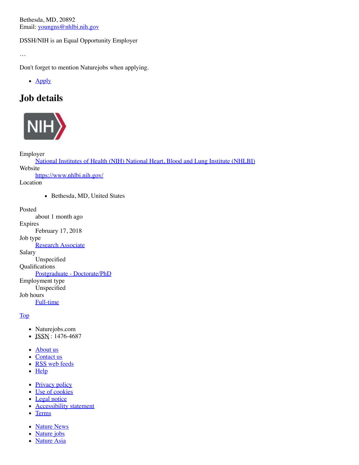Bethesda, MD, 20892 Email: [youngns@nhlbi.nih.gov](mailto:youngns@nhlbi.nih.gov)

DSSH/NIH is an Equal Opportunity Employer

…

Don't forget to mention Naturejobs when applying.

• Apply

## **Job details**



Employer

[National Institutes of Health \(NIH\) National Heart, Blood and Lung Institute \(NHLBI\)](https://www.nature.com/naturejobs/science/employer-directory/73805) Website <https://www.nhlbi.nih.gov/> Location • Bethesda, MD, United States

Posted about 1 month ago Expires February 17, 2018 Job type **[Research Associate](https://www.nature.com/naturejobs/science/jobs?job_type=Research+Associate)** Salary Unspecified Qualifications [Postgraduate - Doctorate/PhD](https://www.nature.com/naturejobs/science/jobs?qualifications=Postgraduate+-+Doctorate%2FPhD) Employment type Unspecified Job hours [Full-time](https://www.nature.com/naturejobs/science/jobs?job_hours=Full-time)

[Top](#page-0-0)

- Naturejobs.com
- $\bullet$  ISSN : 1476-4687
- [About us](https://www.nature.com/npg/)
- [Contact us](https://www.nature.com/npg_/contact/)
- [RSS web feeds](https://www.nature.com/webfeeds/)
- [Help](https://www.nature.com/help/)
- [Privacy policy](https://www.nature.com/info/privacy.html)
- [Use of cookies](https://www.nature.com/info/cookies.html)
- [Legal notice](https://www.nature.com/info/legal_notice.html)
- [Accessibility statement](https://www.nature.com/info/accessibility_statement.html)
- [Terms](https://www.nature.com/info/tandc.html)
- [Nature News](https://www.nature.com/news/)
- [Nature](https://www.nature.com/naturejobs/science/) jobs
- [Nature Asia](http://www.natureasia.com/)